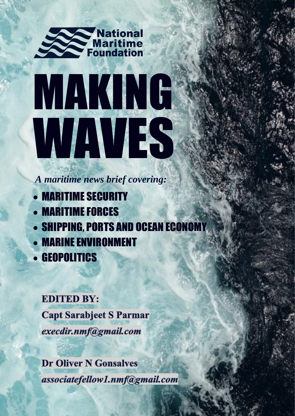

# MAKING WAVES

*A maritime news brief covering:*

- MARITIME SECURITY
- MARITIME FORCES
- SHIPPING, PORTS AND OCEAN ECONOMY
- MARINE ENVIRONMENT
- GEOPOLITICS

#### **EDITED BY:**

**Capt Sarabjeet S Parmar** execdir.nmf@gmail.com

**Dr Oliver N Gonsalves** associatefellow1.nmf@gmail.com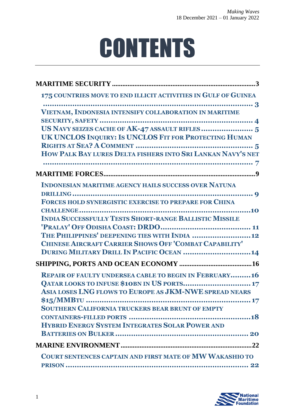# **CONTENTS**

| 175 COUNTRIES MOVE TO END ILLICIT ACTIVITIES IN GULF OF GUINEA                                                  |
|-----------------------------------------------------------------------------------------------------------------|
| VIETNAM, INDONESIA INTENSIFY COLLABORATION IN MARITIME                                                          |
| UK UNCLOS INQUIRY: IS UNCLOS FIT FOR PROTECTING HUMAN                                                           |
| HOW PALK BAY LURES DELTA FISHERS INTO SRI LANKAN NAVY'S NET                                                     |
|                                                                                                                 |
| <b>INDONESIAN MARITIME AGENCY HAILS SUCCESS OVER NATUNA</b>                                                     |
| FORCES HOLD SYNERGISTIC EXERCISE TO PREPARE FOR CHINA                                                           |
| <b>INDIA SUCCESSFULLY TESTS SHORT-RANGE BALLISTIC MISSILE</b>                                                   |
| THE PHILIPPINES' DEEPENING TIES WITH INDIA  12<br><b>CHINESE AIRCRAFT CARRIER SHOWS OFF 'COMBAT CAPABILITY'</b> |
| DURING MILITARY DRILL IN PACIFIC OCEAN  14                                                                      |
| <b>REPAIR OF FAULTY UNDERSEA CABLE TO BEGIN IN FEBRUARY16</b>                                                   |
| QATAR LOOKS TO INFUSE \$10BN IN US PORTS 17<br>ASIA LOSES LNG FLOWS TO EUROPE AS JKM-NWE SPREAD NEARS           |
| <b>SOUTHERN CALIFORNIA TRUCKERS BEAR BRUNT OF EMPTY</b>                                                         |
| HYBRID ENERGY SYSTEM INTEGRATES SOLAR POWER AND                                                                 |
|                                                                                                                 |
| <b>COURT SENTENCES CAPTAIN AND FIRST MATE OF MW WAKASHIO TO</b>                                                 |
|                                                                                                                 |

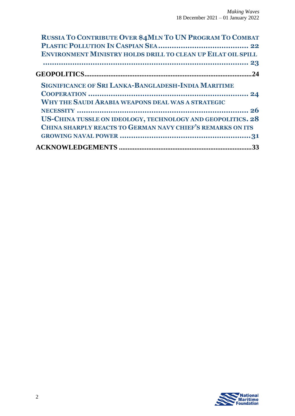| <b>RUSSIA TO CONTRIBUTE OVER \$4MLN TO UN PROGRAM TO COMBAT</b>     |
|---------------------------------------------------------------------|
|                                                                     |
| <b>ENVIRONMENT MINISTRY HOLDS DRILL TO CLEAN UP EILAT OIL SPILL</b> |
|                                                                     |
|                                                                     |
| <b>SIGNIFICANCE OF SRI LANKA-BANGLADESH-INDIA MARITIME</b>          |
|                                                                     |
| <b>WHY THE SAUDI ARABIA WEAPONS DEAL WAS A STRATEGIC</b>            |
|                                                                     |
| US-CHINA TUSSLE ON IDEOLOGY, TECHNOLOGY AND GEOPOLITICS. 28         |
| CHINA SHARPLY REACTS TO GERMAN NAVY CHIEF'S REMARKS ON ITS          |
|                                                                     |
| 33                                                                  |

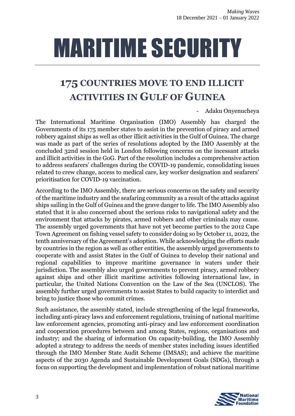# <span id="page-3-0"></span>MARITIME SECURITY

# <span id="page-3-1"></span>**175 COUNTRIES MOVE TO END ILLICIT ACTIVITIES IN GULF OF GUINEA**

- Adaku Onyenucheya

The International Maritime Organisation (IMO) Assembly has charged the Governments of its 175 member states to assist in the prevention of piracy and armed robbery against ships as well as other illicit activities in the Gulf of Guinea. The charge was made as part of the series of resolutions adopted by the IMO Assembly at the concluded 32nd session held in London following concerns on the incessant attacks and illicit activities in the GoG. Part of the resolution includes a comprehensive action to address seafarers' challenges during the COVID-19 pandemic, consolidating issues related to crew change, access to medical care, key worker designation and seafarers' prioritisation for COVID-19 vaccination.

According to the IMO Assembly, there are serious concerns on the safety and security of the maritime industry and the seafaring community as a result of the attacks against ships sailing in the Gulf of Guinea and the grave danger to life. The IMO Assembly also stated that it is also concerned about the serious risks to navigational safety and the environment that attacks by pirates, armed robbers and other criminals may cause. The assembly urged governments that have not yet become parties to the 2012 Cape Town Agreement on fishing vessel safety to consider doing so by October 11, 2022, the tenth anniversary of the Agreement's adoption. While acknowledging the efforts made by countries in the region as well as other entities, the assembly urged governments to cooperate with and assist States in the Gulf of Guinea to develop their national and regional capabilities to improve maritime governance in waters under their jurisdiction. The assembly also urged governments to prevent piracy, armed robbery against ships and other illicit maritime activities following international law, in particular, the United Nations Convention on the Law of the Sea (UNCLOS). The assembly further urged governments to assist States to build capacity to interdict and bring to justice those who commit crimes.

Such assistance, the assembly stated, include strengthening of the legal frameworks, including anti-piracy laws and enforcement regulations, training of national maritime law enforcement agencies, promoting anti-piracy and law enforcement coordination and cooperation procedures between and among States, regions, organisations and industry; and the sharing of information On capacity-building, the IMO Assembly adopted a strategy to address the needs of member states including issues identified through the IMO Member State Audit Scheme (IMSAS); and achieve the maritime aspects of the 2030 Agenda and Sustainable Development Goals (SDGs), through a focus on supporting the development and implementation of robust national maritime

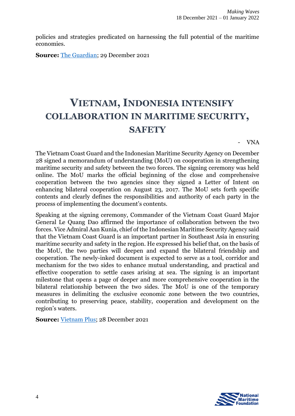policies and strategies predicated on harnessing the full potential of the maritime economies.

**Source:** [The Guardian;](https://guardian.ng/business-services/maritime/175-countries-move-to-end-illicit-activities-in-gulf-of-guinea/) 29 December 2021

#### <span id="page-4-0"></span>**VIETNAM, INDONESIA INTENSIFY COLLABORATION IN MARITIME SECURITY, SAFETY**

- VNA

The Vietnam Coast Guard and the Indonesian Maritime Security Agency on December 28 signed a memorandum of understanding (MoU) on cooperation in strengthening maritime security and safety between the two forces. The signing ceremony was held online. The MoU marks the official beginning of the close and comprehensive cooperation between the two agencies since they signed a Letter of Intent on enhancing bilateral cooperation on August 23, 2017. The MoU sets forth specific contents and clearly defines the responsibilities and authority of each party in the process of implementing the document's contents.

Speaking at the signing ceremony, Commander of the Vietnam Coast Guard Major General Le Quang Dao affirmed the importance of collaboration between the two forces. Vice Admiral Aan Kunia, chief of the Indonesian Maritime Security Agency said that the Vietnam Coast Guard is an important partner in Southeast Asia in ensuring maritime security and safety in the region. He expressed his belief that, on the basis of the MoU, the two parties will deepen and expand the bilateral friendship and cooperation. The newly-inked document is expected to serve as a tool, corridor and mechanism for the two sides to enhance mutual understanding, and practical and effective cooperation to settle cases arising at sea. The signing is an important milestone that opens a page of deeper and more comprehensive cooperation in the bilateral relationship between the two sides. The MoU is one of the temporary measures in delimiting the exclusive economic zone between the two countries, contributing to preserving peace, stability, cooperation and development on the region's waters.

**Source:** [Vietnam Plus;](https://en.vietnamplus.vn/vietnam-indonesia-intensify-collaboration-in-maritime-security-safety/219901.vnp) 28 December 2021

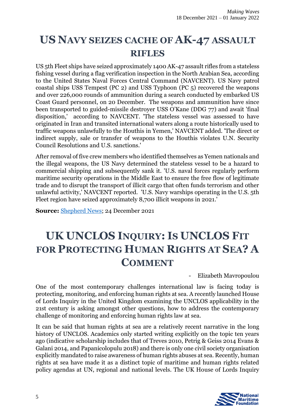#### <span id="page-5-0"></span>**US NAVY SEIZES CACHE OF AK-47 ASSAULT RIFLES**

US 5th Fleet ships have seized approximately 1400 AK-47 assault rifles from a stateless fishing vessel during a flag verification inspection in the North Arabian Sea, according to the United States Naval Forces Central Command (NAVCENT). US Navy patrol coastal ships USS Tempest (PC 2) and USS Typhoon (PC 5) recovered the weapons and over 226,000 rounds of ammunition during a search conducted by embarked US Coast Guard personnel, on 20 December. The weapons and ammunition have since been transported to guided-missile destroyer USS O'Kane (DDG 77) and await 'final disposition,' according to NAVCENT. 'The stateless vessel was assessed to have originated in Iran and transited international waters along a route historically used to traffic weapons unlawfully to the Houthis in Yemen,' NAVCENT added. 'The direct or indirect supply, sale or transfer of weapons to the Houthis violates U.N. Security Council Resolutions and U.S. sanctions.'

After removal of five crew members who identified themselves as Yemen nationals and the illegal weapons, the US Navy determined the stateless vessel to be a hazard to commercial shipping and subsequently sank it. 'U.S. naval forces regularly perform maritime security operations in the Middle East to ensure the free flow of legitimate trade and to disrupt the transport of illicit cargo that often funds terrorism and other unlawful activity,' NAVCENT reported. 'U.S. Navy warships operating in the U.S. 5th Fleet region have seized approximately 8,700 illicit weapons in 2021.'

**Source:** [Shepherd News;](https://www.shephardmedia.com/news/naval-warfare/us-navy-seizes-cache-of-ak-47-assault-rifles/) 24 December 2021

## <span id="page-5-1"></span>**UK UNCLOS INQUIRY: IS UNCLOS FIT FOR PROTECTING HUMAN RIGHTS AT SEA? A COMMENT**

- Elizabeth Mavropoulou

One of the most contemporary challenges international law is facing today is protecting, monitoring, and enforcing human rights at sea. A recently launched House of Lords Inquiry in the United Kingdom examining the UNCLOS applicability in the 21st century is asking amongst other questions, how to address the contemporary challenge of monitoring and enforcing human rights law at sea.

It can be said that human rights at sea are a relatively recent narrative in the long history of UNCLOS. Academics only started writing explicitly on the topic ten years ago (indicative scholarship includes that of Treves 2010, Petrig & Geiss 2014 Evans & Galani 2014, and Papanicolopulu 2018) and there is only one civil society organisation explicitly mandated to raise awareness of human rights abuses at sea. Recently, human rights at sea have made it as a distinct topic of maritime and human rights related policy agendas at UN, regional and national levels. The UK House of Lords Inquiry

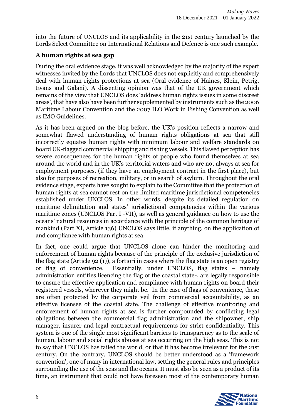into the future of UNCLOS and its applicability in the 21st century launched by the Lords Select Committee on International Relations and Defence is one such example.

#### **A human rights at sea gap**

During the oral evidence stage, it was well acknowledged by the majority of the expert witnesses invited by the Lords that UNCLOS does not explicitly and comprehensively deal with human rights protections at sea (Oral evidence of Haines, Klein, Petrig, Evans and Galani). A dissenting opinion was that of the UK government which remains of the view that UNCLOS does 'address human rights issues in some discreet areas', that have also have been further supplemented by instruments such as the 2006 Maritime Labour Convention and the 2007 ILO Work in Fishing Convention as well as IMO Guidelines.

As it has been argued on the blog before, the UK's position reflects a narrow and somewhat flawed understanding of human rights obligations at sea that still incorrectly equates human rights with minimum labour and welfare standards on board UK-flagged commercial shipping and fishing vessels. This flawed perception has severe consequences for the human rights of people who found themselves at sea around the world and in the UK's territorial waters and who are not always at sea for employment purposes, (if they have an employment contract in the first place), but also for purposes of recreation, military, or in search of asylum. Throughout the oral evidence stage, experts have sought to explain to the Committee that the protection of human rights at sea cannot rest on the limited maritime jurisdictional competencies established under UNCLOS. In other words, despite its detailed regulation on maritime delimitation and states' jurisdictional competencies within the various maritime zones (UNCLOS Part I -VII), as well as general guidance on how to use the oceans' natural resources in accordance with the principle of the common heritage of mankind (Part XI, Article 136) UNCLOS says little, if anything, on the application of and compliance with human rights at sea.

In fact, one could argue that UNCLOS alone can hinder the monitoring and enforcement of human rights because of the principle of the exclusive jurisdiction of the flag state (Article 92 (1)), a fortiori in cases where the flag state is an open registry or flag of convenience. Essentially, under UNCLOS, flag states – namely administration entities licencing the flag of the coastal state-, are legally responsible to ensure the effective application and compliance with human rights on board their registered vessels, wherever they might be. In the case of flags of convenience, these are often protected by the corporate veil from commercial accountability, as an effective licensee of the coastal state. The challenge of effective monitoring and enforcement of human rights at sea is further compounded by conflicting legal obligations between the commercial flag administration and the shipowner, ship manager, insurer and legal contractual requirements for strict confidentiality. This system is one of the single most significant barriers to transparency as to the scale of human, labour and social rights abuses at sea occurring on the high seas. This is not to say that UNCLOS has failed the world, or that it has become irrelevant for the 21st century. On the contrary, UNCLOS should be better understood as a 'framework convention', one of many in international law, setting the general rules and principles surrounding the use of the seas and the oceans. It must also be seen as a product of its time, an instrument that could not have foreseen most of the contemporary human

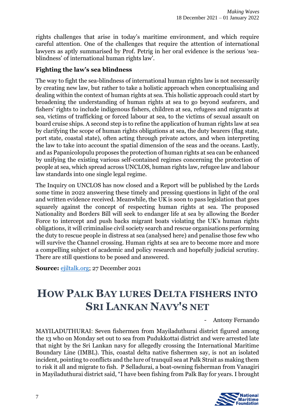rights challenges that arise in today's maritime environment, and which require careful attention. One of the challenges that require the attention of international lawyers as aptly summarised by Prof. Petrig in her oral evidence is the serious 'seablindness' of international human rights law'.

#### **Fighting the law's sea blindness**

The way to fight the sea-blindness of international human rights law is not necessarily by creating new law, but rather to take a holistic approach when conceptualising and dealing within the context of human rights at sea. This holistic approach could start by broadening the understanding of human rights at sea to go beyond seafarers, and fishers' rights to include indigenous fishers, children at sea, refugees and migrants at sea, victims of trafficking or forced labour at sea, to the victims of sexual assault on board cruise ships. A second step is to refine the application of human rights law at sea by clarifying the scope of human rights obligations at sea, the duty bearers (flag state, port state, coastal state), often acting through private actors, and when interpreting the law to take into account the spatial dimension of the seas and the oceans. Lastly, and as Papanicolopulu proposes the protection of human rights at sea can be enhanced by unifying the existing various self-contained regimes concerning the protection of people at sea, which spread across UNCLOS, human rights law, refugee law and labour law standards into one single legal regime.

The Inquiry on UNCLOS has now closed and a Report will be published by the Lords some time in 2022 answering these timely and pressing questions in light of the oral and written evidence received. Meanwhile, the UK is soon to pass legislation that goes squarely against the concept of respecting human rights at sea. The proposed Nationality and Borders Bill will seek to endanger life at sea by allowing the Border Force to intercept and push backs migrant boats violating the UK's human rights obligations, it will criminalise civil society search and rescue organisations performing the duty to rescue people in distress at sea (analysed here) and penalise those few who will survive the Channel crossing. Human rights at sea are to become more and more a compelling subject of academic and policy research and hopefully judicial scrutiny. There are still questions to be posed and answered.

**Source:** [ejiltalk.org;](https://www.ejiltalk.org/uk-unclos-inquiry-is-unclos-fit-for-protecting-human-rights-at-sea-a-comment/) 27 December 2021

### <span id="page-7-0"></span>**HOW PALK BAY LURES DELTA FISHERS INTO SRI LANKAN NAVY'S NET**

- Antony Fernando

MAYILADUTHURAI: Seven fishermen from Mayiladuthurai district figured among the 13 who on Monday set out to sea from Pudukkottai district and were arrested late that night by the Sri Lankan navy for allegedly crossing the International Maritime Boundary Line (IMBL). This, coastal delta native fishermen say, is not an isolated incident, pointing to conflicts and the lure of tranquil sea at Palk Strait as making them to risk it all and migrate to fish. P Selladurai, a boat-owning fisherman from Vanagiri in Mayiladuthurai district said, "I have been fishing from Palk Bay for years. I brought

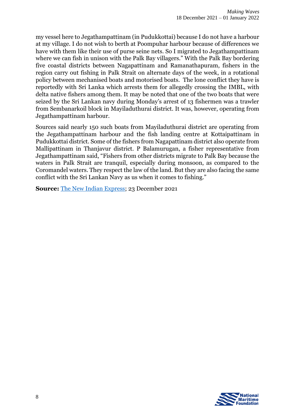my vessel here to Jegathampattinam (in Pudukkottai) because I do not have a harbour at my village. I do not wish to berth at Poompuhar harbour because of differences we have with them like their use of purse seine nets. So I migrated to Jegathampattinam where we can fish in unison with the Palk Bay villagers." With the Palk Bay bordering five coastal districts between Nagapattinam and Ramanathapuram, fishers in the region carry out fishing in Palk Strait on alternate days of the week, in a rotational policy between mechanised boats and motorised boats. The lone conflict they have is reportedly with Sri Lanka which arrests them for allegedly crossing the IMBL, with delta native fishers among them. It may be noted that one of the two boats that were seized by the Sri Lankan navy during Monday's arrest of 13 fishermen was a trawler from Sembanarkoil block in Mayiladuthurai district. It was, however, operating from Jegathampattinam harbour.

Sources said nearly 150 such boats from Mayiladuthurai district are operating from the Jegathampattinam harbour and the fish landing centre at Kottaipattinam in Pudukkottai district. Some of the fishers from Nagapattinam district also operate from Mallipattinam in Thanjavur district. P Balamurugan, a fisher representative from Jegathampattinam said, "Fishers from other districts migrate to Palk Bay because the waters in Palk Strait are tranquil, especially during monsoon, as compared to the Coromandel waters. They respect the law of the land. But they are also facing the same conflict with the Sri Lankan Navy as us when it comes to fishing."

**Source:** [The New Indian Express;](https://www.newindianexpress.com/states/tamil-nadu/2021/dec/23/how-palk-bay-lures-delta-fishers-into-srilankan-navys-net-2398760.html) 23 December 2021

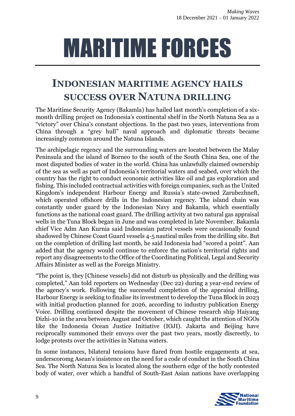# <span id="page-9-0"></span>MARITIME FORCES

### <span id="page-9-1"></span>**INDONESIAN MARITIME AGENCY HAILS SUCCESS OVER NATUNA DRILLING**

The Maritime Security Agency (Bakamla) has hailed last month's completion of a sixmonth drilling project on Indonesia's continental shelf in the North Natuna Sea as a "victory" over China's constant objections. In the past two years, interventions from China through a "grey hull" naval approach and diplomatic threats became increasingly common around the Natuna Islands.

The archipelagic regency and the surrounding waters are located between the Malay Peninsula and the island of Borneo to the south of the South China Sea, one of the most disputed bodies of water in the world. China has unlawfully claimed ownership of the sea as well as part of Indonesia's territorial waters and seabed, over which the country has the right to conduct economic activities like oil and gas exploration and fishing. This included contractual activities with foreign companies, such as the United Kingdom's independent Harbour Energy and Russia's state-owned Zarubezhneft, which operated offshore drills in the Indonesian regency. The island chain was constantly under guard by the Indonesian Navy and Bakamla, which essentially functions as the national coast guard. The drilling activity at two natural gas appraisal wells in the Tuna Block began in June and was completed in late November. Bakamla chief Vice Adm Aan Kurnia said Indonesian patrol vessels were occasionally found shadowed by Chinese Coast Guard vessels 4-5 nautical miles from the drilling site. But on the completion of drilling last month, he said Indonesia had "scored a point". Aan added that the agency would continue to enforce the nation's territorial rights and report any disagreements to the Office of the Coordinating Political, Legal and Security Affairs Minister as well as the Foreign Ministry.

"The point is, they [Chinese vessels] did not disturb us physically and the drilling was completed," Aan told reporters on Wednesday (Dec 22) during a year-end review of the agency's work. Following the successful completion of the appraisal drilling, Harbour Energy is seeking to finalise its investment to develop the Tuna Block in 2023 with initial production planned for 2026, according to industry publication Energy Voice. Drilling continued despite the movement of Chinese research ship Haiyang Dizhi-10 in the area between August and October, which caught the attention of NGOs like the Indonesia Ocean Justice Initiative (IOJI). Jakarta and Beijing have reciprocally summoned their envoys over the past two years, mostly discreetly, to lodge protests over the activities in Natuna waters.

In some instances, bilateral tensions have flared from hostile engagements at sea, underscoromg Asean's insistence on the need for a code of conduct in the South China Sea. The North Natuna Sea is located along the southern edge of the hotly contested body of water, over which a handful of South-East Asian nations have overlapping

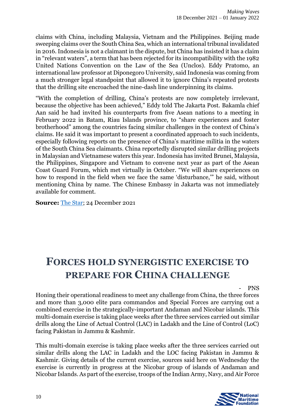claims with China, including Malaysia, Vietnam and the Philippines. Beijing made sweeping claims over the South China Sea, which an international tribunal invalidated in 2016. Indonesia is not a claimant in the dispute, but China has insisted it has a claim in "relevant waters", a term that has been rejected for its incompatibility with the 1982 United Nations Convention on the Law of the Sea (Unclos). Eddy Pratomo, an international law professor at Diponegoro University, said Indonesia was coming from a much stronger legal standpoint that allowed it to ignore China's repeated protests that the drilling site encroached the nine-dash line underpinning its claims.

"With the completion of drilling, China's protests are now completely irrelevant, because the objective has been achieved," Eddy told The Jakarta Post. Bakamla chief Aan said he had invited his counterparts from five Asean nations to a meeting in February 2022 in Batam, Riau Islands province, to "share experiences and foster brotherhood" among the countries facing similar challenges in the context of China's claims. He said it was important to present a coordinated approach to such incidents, especially following reports on the presence of China's maritime militia in the waters of the South China Sea claimants. China reportedly disrupted similar drilling projects in Malaysian and Vietnamese waters this year. Indonesia has invited Brunei, Malaysia, the Philippines, Singapore and Vietnam to convene next year as part of the Asean Coast Guard Forum, which met virtually in October. "We will share experiences on how to respond in the field when we face the same 'disturbance,'" he said, without mentioning China by name. The Chinese Embassy in Jakarta was not immediately available for comment.

**Source:** [The Star;](https://www.thestar.com.my/aseanplus/2021/12/24/indonesian-maritime-agency-hails-success-over-natuna-drilling) 24 December 2021

#### <span id="page-10-0"></span>**FORCES HOLD SYNERGISTIC EXERCISE TO PREPARE FOR CHINA CHALLENGE**

#### - PNS

Honing their operational readiness to meet any challenge from China, the three forces and more than 3,000 elite para commandos and Special Forces are carrying out a combined exercise in the strategically-important Andaman and Nicobar islands. This multi-domain exercise is taking place weeks after the three services carried out similar drills along the Line of Actual Control (LAC) in Ladakh and the Line of Control (LoC) facing Pakistan in Jammu & Kashmir.

This multi-domain exercise is taking place weeks after the three services carried out similar drills along the LAC in Ladakh and the LOC facing Pakistan in Jammu & Kashmir. Giving details of the current exercise, sources said here on Wednesday the exercise is currently in progress at the Nicobar group of islands of Andaman and Nicobar Islands. As part of the exercise, troops of the Indian Army, Navy, and Air Force

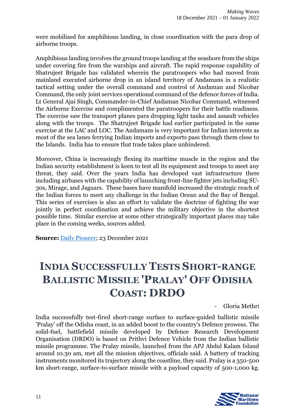were mobilised for amphibious landing, in close coordination with the para drop of airborne troops.

Amphibious landing involves the ground troops landing at the seashore from the ships under covering fire from the warships and aircraft. The rapid response capability of Shatrujeet Brigade has validated wherein the paratroopers who had moved from mainland executed airborne drop in an island territory of Andamans in a realistic tactical setting under the overall command and control of Andaman and Nicobar Command, the only joint services operational command of the defence forces of India. Lt General Ajai Singh, Commander-in-Chief Andaman Nicobar Command, witnessed the Airborne Exercise and complimented the paratroopers for their battle readiness. The exercise saw the transport planes para dropping light tanks and assault vehicles along with the troops. The Shatrujeet Brigade had earlier participated in the same exercise at the LAC and LOC. The Andamans is very important for Indian interests as most of the sea lanes ferrying Indian imports and exports pass through them close to the Islands. India has to ensure that trade takes place unhindered.

Moreover, China is increasingly flexing its maritime muscle in the region and the Indian security establishment is keen to test all its equipment and troops to meet any threat, they said. Over the years India has developed vast infrastructure there including airbases with the capability of launching front-line fighter jets including SU-30s, Mirage, and Jaguars. These bases have manifold increased the strategic reach of the Indian forces to meet any challenge in the Indian Ocean and the Bay of Bengal. This series of exercises is also an effort to validate the doctrine of fighting the war jointly in perfect coordination and achieve the military objective in the shortest possible time. Similar exercise at some other strategically important places may take place in the coming weeks, sources added.

**Source:** [Daily Pioneer;](https://www.dailypioneer.com/2021/page1/forces-hold-synergistic-exercise-to-prepare-for-china-challenge.html) 23 December 2021

## <span id="page-11-0"></span>**INDIA SUCCESSFULLY TESTS SHORT-RANGE BALLISTIC MISSILE 'PRALAY' OFF ODISHA COAST: DRDO**

- Gloria Methri

India successfully test-fired short-range surface to surface-guided ballistic missile 'Pralay' off the Odisha coast, in an added boost to the country's Defence prowess. The solid-fuel, battlefield missile developed by Defence Research Development Organisation (DRDO) is based on Prithvi Defence Vehicle from the Indian ballistic missile programme. The Pralay missile, launched from the APJ Abdul Kalam Island around 10.30 am, met all the mission objectives, officials said. A battery of tracking instruments monitored its trajectory along the coastline, they said. Pralay is a 350-500 km short-range, surface-to-surface missile with a payload capacity of 500-1,000 kg.

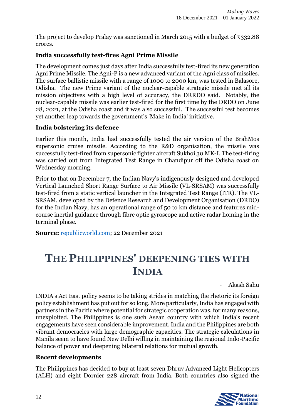The project to develop Pralay was sanctioned in March 2015 with a budget of ₹332.88 crores.

#### **India successfully test-fires Agni Prime Missile**

The development comes just days after India successfully test-fired its new generation Agni Prime Missile. The Agni-P is a new advanced variant of the Agni class of missiles. The surface ballistic missile with a range of 1000 to 2000 km, was tested in Balasore, Odisha. The new Prime variant of the nuclear-capable strategic missile met all its mission objectives with a high level of accuracy, the DRRDO said. Notably, the nuclear-capable missile was earlier test-fired for the first time by the DRDO on June 28, 2021, at the Odisha coast and it was also successful. The successful test becomes yet another leap towards the government's 'Make in India' initiative.

#### **India bolstering its defence**

Earlier this month, India had successfully tested the air version of the BrahMos supersonic cruise missile. According to the R&D organisation, the missile was successfully test-fired from supersonic fighter aircraft Sukhoi 30 MK-I. The test-firing was carried out from Integrated Test Range in Chandipur off the Odisha coast on Wednesday morning.

Prior to that on December 7, the Indian Navy's indigenously designed and developed Vertical Launched Short Range Surface to Air Missile (VL-SRSAM) was successfully test-fired from a static vertical launcher in the Integrated Test Range (ITR). The VL-SRSAM, developed by the Defence Research and Development Organisation (DRDO) for the Indian Navy, has an operational range of 50 to km distance and features midcourse inertial guidance through fibre optic gyroscope and active radar homing in the terminal phase.

**Source:** [republicworld.com;](https://www.republicworld.com/india-news/general-news/india-successfully-tests-short-range-ballistic-missile-pralay-off-odisha-coast-drdo.html) 22 December 2021

### <span id="page-12-0"></span>**THE PHILIPPINES' DEEPENING TIES WITH INDIA**

- Akash Sahu

INDIA's Act East policy seems to be taking strides in matching the rhetoric its foreign policy establishment has put out for so long. More particularly, India has engaged with partners in the Pacific where potential for strategic cooperation was, for many reasons, unexploited. The Philippines is one such Asean country with which India's recent engagements have seen considerable improvement. India and the Philippines are both vibrant democracies with large demographic capacities. The strategic calculations in Manila seem to have found New Delhi willing in maintaining the regional Indo-Pacific balance of power and deepening bilateral relations for mutual growth.

#### **Recent developments**

The Philippines has decided to buy at least seven Dhruv Advanced Light Helicopters (ALH) and eight Dornier 228 aircraft from India. Both countries also signed the

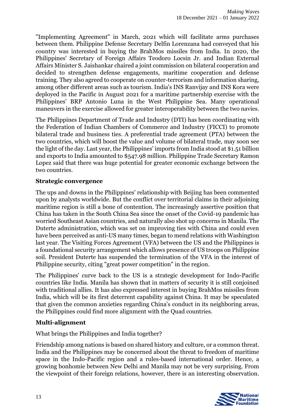"Implementing Agreement" in March, 2021 which will facilitate arms purchases between them. Philippine Defense Secretary Delfin Lorenzana had conveyed that his country was interested in buying the BrahMos missiles from India. In 2020, the Philippines' Secretary of Foreign Affairs Teodoro Locsin Jr. and Indian External Affairs Minister S. Jaishankar chaired a joint commission on bilateral cooperation and decided to strengthen defense engagements, maritime cooperation and defense training. They also agreed to cooperate on counter-terrorism and information sharing, among other different areas such as tourism. India's INS Ranvijay and INS Kora were deployed in the Pacific in August 2021 for a maritime partnership exercise with the Philippines' BRP Antonio Luna in the West Philippine Sea. Many operational maneuvers in the exercise allowed for greater interoperability between the two navies.

The Philippines Department of Trade and Industry (DTI) has been coordinating with the Federation of Indian Chambers of Commerce and Industry (FICCI) to promote bilateral trade and business ties. A preferential trade agreement (PTA) between the two countries, which will boost the value and volume of bilateral trade, may soon see the light of the day. Last year, the Philippines' imports from India stood at \$1.51 billion and exports to India amounted to \$547.98 million. Philippine Trade Secretary Ramon Lopez said that there was huge potential for greater economic exchange between the two countries.

#### **Strategic convergence**

The ups and downs in the Philippines' relationship with Beijing has been commented upon by analysts worldwide. But the conflict over territorial claims in their adjoining maritime region is still a bone of contention. The increasingly assertive position that China has taken in the South China Sea since the onset of the Covid-19 pandemic has worried Southeast Asian countries, and naturally also shot up concerns in Manila. The Duterte administration, which was set on improving ties with China and could even have been perceived as anti-US many times, began to mend relations with Washington last year. The Visiting Forces Agreement (VFA) between the US and the Philippines is a foundational security arrangement which allows presence of US troops on Philippine soil. President Duterte has suspended the termination of the VFA in the interest of Philippine security, citing "great power competition" in the region.

The Philippines' curve back to the US is a strategic development for Indo-Pacific countries like India. Manila has shown that in matters of security it is still conjoined with traditional allies. It has also expressed interest in buying BrahMos missiles from India, which will be its first deterrent capability against China. It may be speculated that given the common anxieties regarding China's conduct in its neighboring areas, the Philippines could find more alignment with the Quad countries.

#### **Multi-alignment**

What brings the Philippines and India together?

Friendship among nations is based on shared history and culture, or a common threat. India and the Philippines may be concerned about the threat to freedom of maritime space in the Indo-Pacific region and a rules-based international order. Hence, a growing bonhomie between New Delhi and Manila may not be very surprising. From the viewpoint of their foreign relations, however, there is an interesting observation.

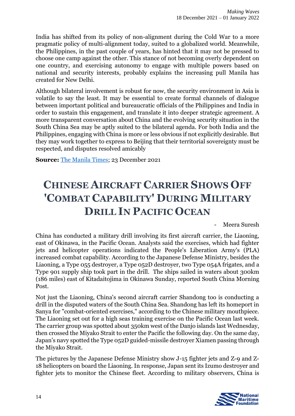India has shifted from its policy of non-alignment during the Cold War to a more pragmatic policy of multi-alignment today, suited to a globalized world. Meanwhile, the Philippines, in the past couple of years, has hinted that it may not be pressed to choose one camp against the other. This stance of not becoming overly dependent on one country, and exercising autonomy to engage with multiple powers based on national and security interests, probably explains the increasing pull Manila has created for New Delhi.

Although bilateral involvement is robust for now, the security environment in Asia is volatile to say the least. It may be essential to create formal channels of dialogue between important political and bureaucratic officials of the Philippines and India in order to sustain this engagement, and translate it into deeper strategic agreement. A more transparent conversation about China and the evolving security situation in the South China Sea may be aptly suited to the bilateral agenda. For both India and the Philippines, engaging with China is more or less obvious if not explicitly desirable. But they may work together to express to Beijing that their territorial sovereignty must be respected, and disputes resolved amicably

**Source:** [The Manila Times;](https://www.manilatimes.net/2021/12/23/opinion/columns/the-philippines-deepening-ties-with-india/1826939) 23 December 2021

# <span id="page-14-0"></span>**CHINESE AIRCRAFT CARRIER SHOWS OFF 'COMBAT CAPABILITY' DURING MILITARY DRILL IN PACIFIC OCEAN**

- Meera Suresh

China has conducted a military drill involving its first aircraft carrier, the Liaoning, east of Okinawa, in the Pacific Ocean. Analysts said the exercises, which had fighter jets and helicopter operations indicated the People's Liberation Army's (PLA) increased combat capability. According to the Japanese Defense Ministry, besides the Liaoning, a Type 055 destroyer, a Type 052D destroyer, two Type 054A frigates, and a Type 901 supply ship took part in the drill. The ships sailed in waters about 300km (186 miles) east of Kitadaitojima in Okinawa Sunday, reported South China Morning Post.

Not just the Liaoning, China's second aircraft carrier Shandong too is conducting a drill in the disputed waters of the South China Sea. Shandong has left its homeport in Sanya for "combat-oriented exercises," according to the Chinese military mouthpiece. The Liaoning set out for a high seas training exercise on the Pacific Ocean last week. The carrier group was spotted about 350km west of the Danjo islands last Wednesday, then crossed the Miyako Strait to enter the Pacific the following day. On the same day, Japan's navy spotted the Type 052D guided-missile destroyer Xiamen passing through the Miyako Strait.

The pictures by the Japanese Defense Ministry show J-15 fighter jets and Z-9 and Z-18 helicopters on board the Liaoning. In response, Japan sent its Izumo destroyer and fighter jets to monitor the Chinese fleet. According to military observers, China is

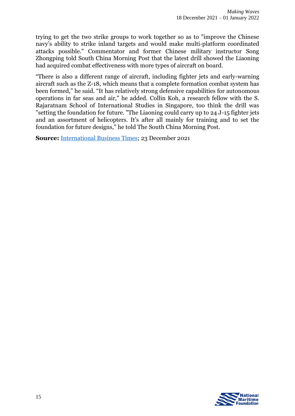trying to get the two strike groups to work together so as to "improve the Chinese navy's ability to strike inland targets and would make multi-platform coordinated attacks possible." Commentator and former Chinese military instructor Song Zhongping told South China Morning Post that the latest drill showed the Liaoning had acquired combat effectiveness with more types of aircraft on board.

"There is also a different range of aircraft, including fighter jets and early-warning aircraft such as the Z-18, which means that a complete formation combat system has been formed," he said. "It has relatively strong defensive capabilities for autonomous operations in far seas and air," he added. Collin Koh, a research fellow with the S. Rajaratnam School of International Studies in Singapore, too think the drill was "setting the foundation for future. "The Liaoning could carry up to 24 J-15 fighter jets and an assortment of helicopters. It's after all mainly for training and to set the foundation for future designs," he told The South China Morning Post.

**Source:** [International Business Times;](https://www.ibtimes.com/chinese-aircraft-carrier-shows-combat-capability-during-military-drill-pacific-ocean-3362920) 23 December 2021

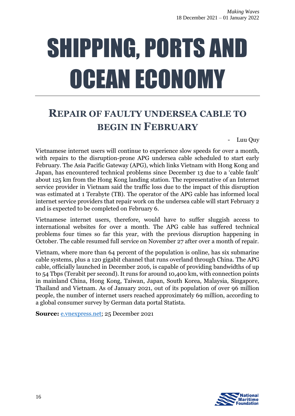# <span id="page-16-0"></span>SHIPPING, PORTS AND OCEAN ECONOMY

### <span id="page-16-1"></span>**REPAIR OF FAULTY UNDERSEA CABLE TO BEGIN IN FEBRUARY**

- Luu Quy

Vietnamese internet users will continue to experience slow speeds for over a month, with repairs to the disruption-prone APG undersea cable scheduled to start early February. The Asia Pacific Gateway (APG), which links Vietnam with Hong Kong and Japan, has encountered technical problems since December 13 due to a 'cable fault' about 125 km from the Hong Kong landing station. The representative of an Internet service provider in Vietnam said the traffic loss due to the impact of this disruption was estimated at 1 Terabyte (TB). The operator of the APG cable has informed local internet service providers that repair work on the undersea cable will start February 2 and is expected to be completed on February 6.

Vietnamese internet users, therefore, would have to suffer sluggish access to international websites for over a month. The APG cable has suffered technical problems four times so far this year, with the previous disruption happening in October. The cable resumed full service on November 27 after over a month of repair.

Vietnam, where more than 64 percent of the population is online, has six submarine cable systems, plus a 120 gigabit channel that runs overland through China. The APG cable, officially launched in December 2016, is capable of providing bandwidths of up to 54 Tbps (Terabit per second). It runs for around 10,400 km, with connection points in mainland China, Hong Kong, Taiwan, Japan, South Korea, Malaysia, Singapore, Thailand and Vietnam. As of January 2021, out of its population of over 96 million people, the number of internet users reached approximately 69 million, according to a global consumer survey by German data portal Statista.

**Source:** [e.vnexpress.net;](https://e.vnexpress.net/news/news/repair-of-faulty-undersea-cable-to-begin-in-february-4408310.html) 25 December 2021

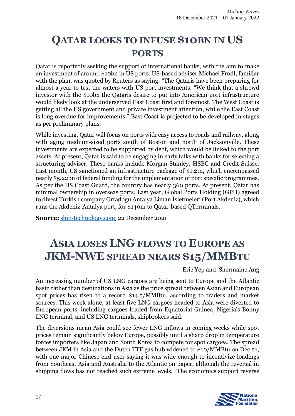### <span id="page-17-0"></span>**QATAR LOOKS TO INFUSE \$10BN IN US PORTS**

Qatar is reportedly seeking the support of international banks, with the aim to make an investment of around \$10bn in US ports. US-based adviser Michael Frodl, familiar with the plan, was quoted by Reuters as saying: "The Qataris have been preparing for almost a year to test the waters with US port investments. "We think that a shrewd investor with the \$10bn the Qataris desire to put into American port infrastructure would likely look at the underserved East Coast first and foremost. The West Coast is getting all the US government and private investment attention, while the East Coast is long overdue for improvements." East Coast is projected to be developed in stages as per preliminary plans.

While investing, Qatar will focus on ports with easy access to roads and railway, along with aging medium-sized ports south of Boston and north of Jacksonville. These investments are expected to be supported by debt, which would be linked to the port assets. At present, Qatar is said to be engaging in early talks with banks for selecting a structuring adviser. These banks include Morgan Stanley, HSBC and Credit Suisse. Last month, US sanctioned an infrastructure package of \$1.2tn, which encompassed nearly \$5.22bn of federal funding for the implementation of port specific programmes. As per the US Coast Guard, the country has nearly 360 ports. At present, Qatar has minimal ownership in overseas ports. Last year, Global Ports Holding (GPH) agreed to divest Turkish company Ortadogu Antalya Liman Isletmeleri (Port Akdeniz), which runs the Akdeniz-Antalya port, for \$140m to Qatar-based QTerminals.

**Source:** [ship-technology.com](https://www.ship-technology.com/news/qatar-looks-infuse-us-ports/); 22 December 2021

## <span id="page-17-1"></span>**ASIA LOSES LNG FLOWS TO EUROPE AS JKM-NWE SPREAD NEARS \$15/MMBTU**

- Eric Yep and Shermaine Ang

An increasing number of US LNG cargoes are being sent to Europe and the Atlantic basin rather than destinations in Asia as the price spread between Asian and European spot prices has risen to a record \$14.5/MMBtu, according to traders and market sources. This week alone, at least five LNG cargoes headed to Asia were diverted to European ports, including cargoes loaded from Equatorial Guinea, Nigeria's Bonny LNG terminal, and US LNG terminals, shipbrokers said.

The diversions mean Asia could see fewer LNG inflows in coming weeks while spot prices remain significantly below Europe, possibly until a sharp drop in temperature forces importers like Japan and South Korea to compete for spot cargoes. The spread between JKM in Asia and the Dutch TTF gas hub widened to \$10/MMBtu on Dec 21, with one major Chinese end-user saying it was wide enough to incentivize loadings from Southeast Asia and Australia to the Atlantic on paper, although the reversal in shipping flows has not reached such extreme levels. "The economics support reverse

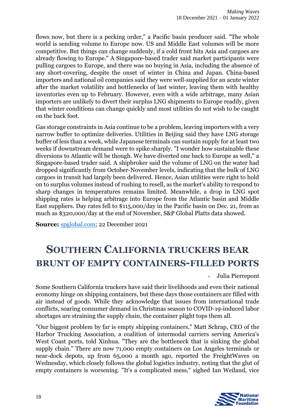flows now, but there is a pecking order," a Pacific basin producer said. "The whole world is sending volume to Europe now. US and Middle East volumes will be more competitive. But things can change suddenly, if a cold front hits Asia and cargoes are already flowing to Europe." A Singapore-based trader said market participants were pulling cargoes to Europe, and there was no buying in Asia, including the absence of any short-covering, despite the onset of winter in China and Japan. China-based importers and national oil companies said they were well-supplied for an acute winter after the market volatility and bottlenecks of last winter, leaving them with healthy inventories even up to February. However, even with a wide arbitrage, many Asian importers are unlikely to divert their surplus LNG shipments to Europe readily, given that winter conditions can change quickly and most utilities do not wish to be caught on the back foot.

Gas storage constraints in Asia continue to be a problem, leaving importers with a very narrow buffer to optimize deliveries. Utilities in Beijing said they have LNG storage buffer of less than a week, while Japanese terminals can sustain supply for at least two weeks if downstream demand were to spike sharply. "I wonder how sustainable these diversions to Atlantic will be though. We have diverted one back to Europe as well," a Singapore-based trader said. A shipbroker said the volume of LNG on the water had dropped significantly from October-November levels, indicating that the bulk of LNG cargoes in transit had largely been delivered. Hence, Asian utilities were right to hold on to surplus volumes instead of rushing to resell, as the market's ability to respond to sharp changes in temperatures remains limited. Meanwhile, a drop in LNG spot shipping rates is helping arbitrage into Europe from the Atlantic basin and Middle East suppliers. Day rates fell to \$115,000/day in the Pacific basin on Dec. 21, from as much as \$320,000/day at the end of November, S&P Global Platts data showed.

**Source:** [spglobal.com;](https://www.spglobal.com/commodity-insights/en/market-insights/latest-news/lng/122221-asia-loses-lng-flows-to-europe-as-jkm-nwe-spread-nears-15mmbtu) 22 December 2021

### <span id="page-18-0"></span>**SOUTHERN CALIFORNIA TRUCKERS BEAR BRUNT OF EMPTY CONTAINERS-FILLED PORTS**

- Julia Pierrepont

Some Southern California truckers have said their livelihoods and even their national economy hinge on shipping containers, but these days those containers are filled with air instead of goods. While they acknowledge that issues from international trade conflicts, soaring consumer demand in Christmas season to COVID-19-induced labor shortages are straining the supply chain, the container plight tops them all.

"Our biggest problem by far is empty shipping containers," Matt Schrap, CEO of the Harbor Trucking Association, a coalition of intermodal carriers serving America's West Coast ports, told Xinhua. "They are the bottleneck that is sinking the global supply chain." There are now 71,000 empty containers on Los Angeles terminals or near-dock depots, up from 65,000 a month ago, reported the FreightWaves on Wednesday, which closely follows the global logistics industry, noting that the glut of empty containers is worsening. "It's a complicated mess," sighed Ian Weiland, vice

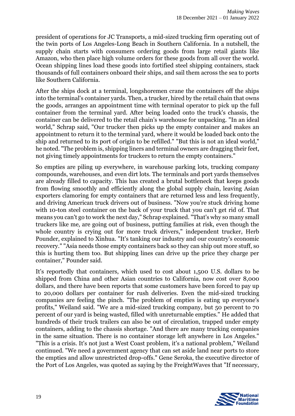president of operations for JC Transports, a mid-sized trucking firm operating out of the twin ports of Los Angeles-Long Beach in Southern California. In a nutshell, the supply chain starts with consumers ordering goods from large retail giants like Amazon, who then place high volume orders for these goods from all over the world. Ocean shipping lines load these goods into fortified steel shipping containers, stack thousands of full containers onboard their ships, and sail them across the sea to ports like Southern California.

After the ships dock at a terminal, longshoremen crane the containers off the ships into the terminal's container yards. Then, a trucker, hired by the retail chain that owns the goods, arranges an appointment time with terminal operator to pick up the full container from the terminal yard. After being loaded onto the truck's chassis, the container can be delivered to the retail chain's warehouse for unpacking. "In an ideal world," Schrap said, "Our trucker then picks up the empty container and makes an appointment to return it to the terminal yard, where it would be loaded back onto the ship and returned to its port of origin to be refilled." "But this is not an ideal world," he noted. "The problem is, shipping liners and terminal owners are dragging their feet, not giving timely appointments for truckers to return the empty containers."

So empties are piling up everywhere, in warehouse parking lots, trucking company compounds, warehouses, and even dirt lots. The terminals and port yards themselves are already filled to capacity. This has created a brutal bottleneck that keeps goods from flowing smoothly and efficiently along the global supply chain, leaving Asian exporters clamoring for empty containers that are returned less and less frequently, and driving American truck drivers out of business. "Now you're stuck driving home with 10-ton steel container on the back of your truck that you can't get rid of. That means you can't go to work the next day," Schrap explained. "That's why so many small truckers like me, are going out of business, putting families at risk, even though the whole country is crying out for more truck drivers," independent trucker, Herb Pounder, explained to Xinhua. "It's tanking our industry and our country's economic recovery." "Asia needs those empty containers back so they can ship out more stuff, so this is hurting them too. But shipping lines can drive up the price they charge per container," Pounder said.

It's reportedly that containers, which used to cost about 1,500 U.S. dollars to be shipped from China and other Asian countries to California, now cost over 8,000 dollars, and there have been reports that some customers have been forced to pay up to 20,000 dollars per container for rush deliveries. Even the mid-sized trucking companies are feeling the pinch. "The problem of empties is eating up everyone's profits," Weiland said. "We are a mid-sized trucking company, but 50 percent to 70 percent of our yard is being wasted, filled with unreturnable empties." He added that hundreds of their truck trailers can also be out of circulation, trapped under empty containers, adding to the chassis shortage. "And there are many trucking companies in the same situation. There is no container storage left anywhere in Los Angeles." "This is a crisis. It's not just a West Coast problem, it's a national problem," Weiland continued. "We need a government agency that can set aside land near ports to store the empties and allow unrestricted drop-offs." Gene Seroka, the executive director of the Port of Los Angeles, was quoted as saying by the FreightWaves that "If necessary,

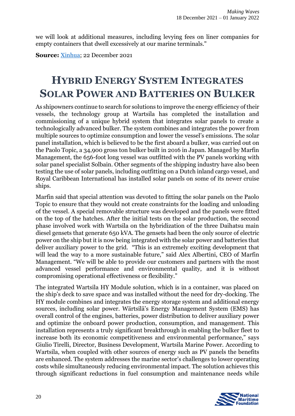we will look at additional measures, including levying fees on liner companies for empty containers that dwell excessively at our marine terminals."

**Source:** [Xinhua;](http://www.xinhuanet.com/english/northamerica/20211015/C9A4B0D3F020000118F41BE9162C1373/c.html) 22 December 2021

#### <span id="page-20-0"></span>**HYBRID ENERGY SYSTEM INTEGRATES SOLAR POWER AND BATTERIES ON BULKER**

As shipowners continue to search for solutions to improve the energy efficiency of their vessels, the technology group at Wartsila has completed the installation and commissioning of a unique hybrid system that integrates solar panels to create a technologically advanced bulker. The system combines and integrates the power from multiple sources to optimize consumption and lower the vessel's emissions. The solar panel installation, which is believed to be the first aboard a bulker, was carried out on the Paolo Topic, a 34,900 gross ton bulker built in 2016 in Japan. Managed by Marfin Management, the 656-foot long vessel was outfitted with the PV panels working with solar panel specialist Solbain. Other segments of the shipping industry have also been testing the use of solar panels, including outfitting on a Dutch inland cargo vessel, and Royal Caribbean International has installed solar panels on some of its newer cruise ships.

Marfin said that special attention was devoted to fitting the solar panels on the Paolo Topic to ensure that they would not create constraints for the loading and unloading of the vessel. A special removable structure was developed and the panels were fitted on the top of the hatches. After the initial tests on the solar production, the second phase involved work with Wartsila on the hybridization of the three Daihatsu main diesel gensets that generate 650 kVA. The gensets had been the only source of electric power on the ship but it is now being integrated with the solar power and batteries that deliver auxiliary power to the grid. "This is an extremely exciting development that will lead the way to a more sustainable future," said Alex Albertini, CEO of Marfin Management. "We will be able to provide our customers and partners with the most advanced vessel performance and environmental quality, and it is without compromising operational effectiveness or flexibility."

The integrated Wartsila HY Module solution, which is in a container, was placed on the ship's deck to save space and was installed without the need for dry-docking. The HY module combines and integrates the energy storage system and additional energy sources, including solar power. Wärtsilä's Energy Management System (EMS) has overall control of the engines, batteries, power distribution to deliver auxiliary power and optimize the onboard power production, consumption, and management. This installation represents a truly significant breakthrough in enabling the bulker fleet to increase both its economic competitiveness and environmental performance," says Giulio Tirelli, Director, Business Development, Wartsila Marine Power. According to Wartsila, when coupled with other sources of energy such as PV panels the benefits are enhanced. The system addresses the marine sector's challenges to lower operating costs while simultaneously reducing environmental impact. The solution achieves this through significant reductions in fuel consumption and maintenance needs while

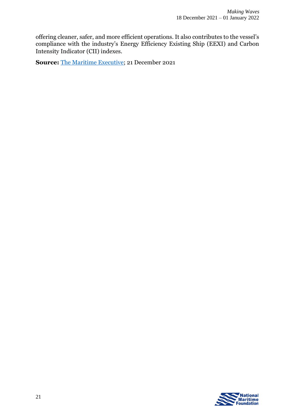offering cleaner, safer, and more efficient operations. It also contributes to the vessel's compliance with the industry's Energy Efficiency Existing Ship (EEXI) and Carbon Intensity Indicator (CII) indexes.

**Source:** [The Maritime Executive;](https://www.maritime-executive.com/article/hybrid-energy-system-integrates-solar-power-and-batteries-on-bulker) 21 December 2021

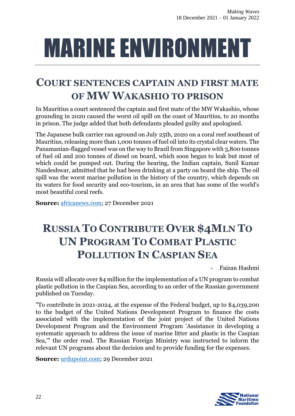# <span id="page-22-0"></span>MARINE ENVIRONMENT

#### <span id="page-22-1"></span>**COURT SENTENCES CAPTAIN AND FIRST MATE OF MW WAKASHIO TO PRISON**

In Mauritius a court sentenced the captain and first mate of the MW Wakashio, whose grounding in 2020 caused the worst oil spill on the coast of Mauritius, to 20 months in prison. The judge added that both defendants pleaded guilty and apologised.

The Japanese bulk carrier ran aground on July 25th, 2020 on a coral reef southeast of Mauritius, releasing more than 1,000 tonnes of fuel oil into its crystal clear waters. The Panamanian-flagged vessel was on the way to Brazil from Singapore with 3,800 tonnes of fuel oil and 200 tonnes of diesel on board, which soon began to leak but most of which could be pumped out. During the hearing, the Indian captain, Sunil Kumar Nandeshwar, admitted that he had been drinking at a party on board the ship. The oil spill was the worst marine pollution in the history of the country, which depends on its waters for food security and eco-tourism, in an area that has some of the world's most beautiful coral reefs.

**Source:** [africanews.com;](https://www.africanews.com/2021/12/27/court-sentences-captain-and-first-mate-of-mw-wakashio-to-prison/) 27 December 2021

### <span id="page-22-2"></span>**RUSSIA TO CONTRIBUTE OVER \$4MLN TO UN PROGRAM TO COMBAT PLASTIC POLLUTION IN CASPIAN SEA**

- Faizan Hashmi

Russia will allocate over \$4 million for the implementation of a UN program to combat plastic pollution in the Caspian Sea, according to an order of the Russian government published on Tuesday.

"To contribute in 2021-2024, at the expense of the Federal budget, up to \$4,039,200 to the budget of the United Nations Development Program to finance the costs associated with the implementation of the joint project of the United Nations Development Program and the Environment Program 'Assistance in developing a systematic approach to address the issue of marine litter and plastic in the Caspian Sea,'" the order read. The Russian Foreign Ministry was instructed to inform the relevant UN programs about the decision and to provide funding for the expenses.

**Source:** [urdupoint.com;](https://www.urdupoint.com/en/world/russia-to-contribute-over-4mln-to-un-program-1437670.html) 29 December 2021

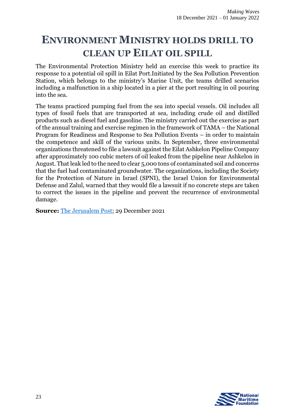### <span id="page-23-0"></span>**ENVIRONMENT MINISTRY HOLDS DRILL TO CLEAN UP EILAT OIL SPILL**

The Environmental Protection Ministry held an exercise this week to practice its response to a potential oil spill in Eilat Port.Initiated by the Sea Pollution Prevention Station, which belongs to the ministry's Marine Unit, the teams drilled scenarios including a malfunction in a ship located in a pier at the port resulting in oil pouring into the sea.

The teams practiced pumping fuel from the sea into special vessels. Oil includes all types of fossil fuels that are transported at sea, including crude oil and distilled products such as diesel fuel and gasoline. The ministry carried out the exercise as part of the annual training and exercise regimen in the framework of TAMA – the National Program for Readiness and Response to Sea Pollution Events – in order to maintain the competence and skill of the various units. In September, three environmental organizations threatened to file a lawsuit against the Eilat Ashkelon Pipeline Company after approximately 100 cubic meters of oil leaked from the pipeline near Ashkelon in August. That leak led to the need to clear 5,000 tons of contaminated soil and concerns that the fuel had contaminated groundwater. The organizations, including the Society for the Protection of Nature in Israel (SPNI), the Israel Union for Environmental Defense and Zalul, warned that they would file a lawsuit if no concrete steps are taken to correct the issues in the pipeline and prevent the recurrence of environmental damage.

**Source:** [The Jerusalem Post;](https://www.jpost.com/business-and-innovation/energy/article-690053) 29 December 2021

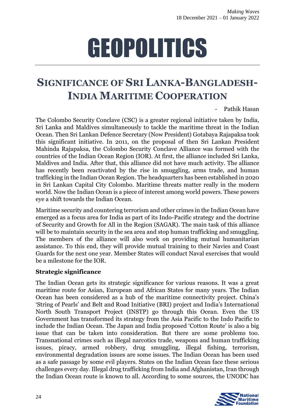# GEOPOLITICS

#### <span id="page-24-1"></span><span id="page-24-0"></span>**SIGNIFICANCE OF SRI LANKA-BANGLADESH-INDIA MARITIME COOPERATION**

Pathik Hasan

The Colombo Security Conclave (CSC) is a greater regional initiative taken by India, Sri Lanka and Maldives simultaneously to tackle the maritime threat in the Indian Ocean. Then Sri Lankan Defence Secretary (Now President) Gotabaya Rajapaksa took this significant initiative. In 2011, on the proposal of then Sri Lankan President Mahinda Rajapaksa, the Colombo Security Conclave Alliance was formed with the countries of the Indian Ocean Region (IOR). At first, the alliance included Sri Lanka, Maldives and India. After that, this alliance did not have much activity. The alliance has recently been reactivated by the rise in smuggling, arms trade, and human trafficking in the Indian Ocean Region. The headquarters has been established in 2020 in Sri Lankan Capital City Colombo. Maritime threats matter really in the modern world. Now the Indian Ocean is a piece of interest among world powers. These powers eye a shift towards the Indian Ocean.

Maritime security and countering terrorism and other crimes in the Indian Ocean have emerged as a focus area for India as part of its Indo-Pacific strategy and the doctrine of Security and Growth for All in the Region (SAGAR). The main task of this alliance will be to maintain security in the sea area and stop human trafficking and smuggling. The members of the alliance will also work on providing mutual humanitarian assistance. To this end, they will provide mutual training to their Navies and Coast Guards for the next one year. Member States will conduct Naval exercises that would be a milestone for the IOR.

#### **Strategic significance**

The Indian Ocean gets its strategic significance for various reasons. It was a great maritime route for Asian, European and African States for many years. The Indian Ocean has been considered as a hub of the maritime connectivity project. China's 'String of Pearls' and Belt and Road Initiative (BRI) project and India's International North South Transport Project (INSTP) go through this Ocean. Even the US Government has transformed its strategy from the Asia Pacific to the Indo Pacific to include the Indian Ocean. The Japan and India proposed 'Cotton Route' is also a big issue that can be taken into consideration. But there are some problems too. Transnational crimes such as illegal narcotics trade, weapons and human trafficking issues, piracy, armed robbery, drug smuggling, illegal fishing, terrorism, environmental degradation issues are some issues. The Indian Ocean has been used as a safe passage by some evil players. States on the Indian Ocean face these serious challenges every day. Illegal drug trafficking from India and Afghanistan, Iran through the Indian Ocean route is known to all. According to some sources, the UNODC has

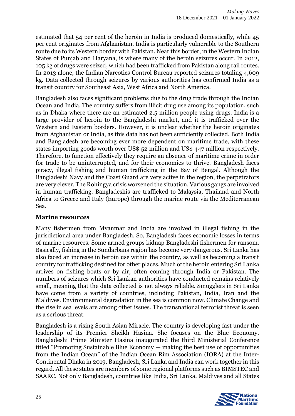estimated that 54 per cent of the heroin in India is produced domestically, while 45 per cent originates from Afghanistan. India is particularly vulnerable to the Southern route due to its Western border with Pakistan. Near this border, in the Western Indian States of Punjab and Haryana, is where many of the heroin seizures occur. In 2012, 105 kg of drugs were seized, which had been trafficked from Pakistan along rail routes. In 2013 alone, the Indian Narcotics Control Bureau reported seizures totaling 4,609 kg. Data collected through seizures by various authorities has confirmed India as a transit country for Southeast Asia, West Africa and North America.

Bangladesh also faces significant problems due to the drug trade through the Indian Ocean and India. The country suffers from illicit drug use among its population, such as in Dhaka where there are an estimated 2.5 million people using drugs. India is a large provider of heroin to the Bangladeshi market, and it is trafficked over the Western and Eastern borders. However, it is unclear whether the heroin originates from Afghanistan or India, as this data has not been sufficiently collected. Both India and Bangladesh are becoming ever more dependent on maritime trade, with these states importing goods worth over US\$ 52 million and US\$ 447 million respectively. Therefore, to function effectively they require an absence of maritime crime in order for trade to be uninterrupted, and for their economies to thrive. Bangladesh faces piracy, illegal fishing and human trafficking in the Bay of Bengal. Although the Bangladeshi Navy and the Coast Guard are very active in the region, the perpetrators are very clever. The Rohingya crisis worsened the situation. Various gangs are involved in human trafficking. Bangladeshis are trafficked to Malaysia, Thailand and North Africa to Greece and Italy (Europe) through the marine route via the Mediterranean Sea.

#### **Marine resources**

Many fishermen from Myanmar and India are involved in illegal fishing in the jurisdictional area under Bangladesh. So, Bangladesh faces economic losses in terms of marine resources. Some armed groups kidnap Bangladeshi fishermen for ransom. Basically, fishing in the Sundarbans region has become very dangerous. Sri Lanka has also faced an increase in heroin use within the country, as well as becoming a transit country for trafficking destined for other places. Much of the heroin entering Sri Lanka arrives on fishing boats or by air, often coming through India or Pakistan. The numbers of seizures which Sri Lankan authorities have conducted remains relatively small, meaning that the data collected is not always reliable. Smugglers in Sri Lanka have come from a variety of countries, including Pakistan, India, Iran and the Maldives. Environmental degradation in the sea is common now. Climate Change and the rise in sea levels are among other issues. The transnational terrorist threat is seen as a serious threat.

Bangladesh is a rising South Asian Miracle. The country is developing fast under the leadership of its Premier Sheikh Hasina. She focuses on the Blue Economy. Bangladeshi Prime Minister Hasina inaugurated the third Ministerial Conference titled "Promoting Sustainable Blue Economy — making the best use of opportunities from the Indian Ocean" of the Indian Ocean Rim Association (IORA) at the Inter-Continental Dhaka in 2019. Bangladesh, Sri Lanka and India can work together in this regard. All these states are members of some regional platforms such as BIMSTEC and SAARC. Not only Bangladesh, countries like India, Sri Lanka, Maldives and all States

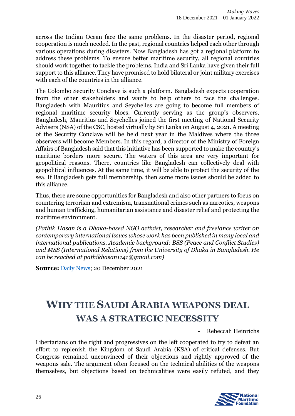across the Indian Ocean face the same problems. In the disaster period, regional cooperation is much needed. In the past, regional countries helped each other through various operations during disasters. Now Bangladesh has got a regional platform to address these problems. To ensure better maritime security, all regional countries should work together to tackle the problems. India and Sri Lanka have given their full support to this alliance. They have promised to hold bilateral or joint military exercises with each of the countries in the alliance.

The Colombo Security Conclave is such a platform. Bangladesh expects cooperation from the other stakeholders and wants to help others to face the challenges. Bangladesh with Mauritius and Seychelles are going to become full members of regional maritime security blocs. Currently serving as the group's observers, Bangladesh, Mauritius and Seychelles joined the first meeting of National Security Advisers (NSA) of the CSC, hosted virtually by Sri Lanka on August 4, 2021. A meeting of the Security Conclave will be held next year in the Maldives where the three observers will become Members. In this regard, a director of the Ministry of Foreign Affairs of Bangladesh said that this initiative has been supported to make the country's maritime borders more secure. The waters of this area are very important for geopolitical reasons. There, countries like Bangladesh can collectively deal with geopolitical influences. At the same time, it will be able to protect the security of the sea. If Bangladesh gets full membership, then some more issues should be added to this alliance.

Thus, there are some opportunities for Bangladesh and also other partners to focus on countering terrorism and extremism, transnational crimes such as narcotics, weapons and human trafficking, humanitarian assistance and disaster relief and protecting the maritime environment.

*(Pathik Hasan is a Dhaka-based NGO activist, researcher and freelance writer on contemporary international issues whose work has been published in many local and international publications. Academic background: BSS (Peace and Conflict Studies) and MSS (International Relations) from the University of Dhaka in Bangladesh. He can be reached at pathikhasan1141@gmail.com)*

**Source:** [Daily News;](http://www.dailynews.lk/2021/12/20/features/267837/significance-sri-lanka-bangladesh-india-maritime-cooperation) 20 December 2021

# <span id="page-26-0"></span>**WHY THE SAUDI ARABIA WEAPONS DEAL WAS A STRATEGIC NECESSITY**

- Rebeccah Heinrichs

Libertarians on the right and progressives on the left cooperated to try to defeat an effort to replenish the Kingdom of Saudi Arabia (KSA) of critical defenses. But Congress remained unconvinced of their objections and rightly approved of the weapons sale. The argument often focused on the technical abilities of the weapons themselves, but objections based on technicalities were easily refuted, and they

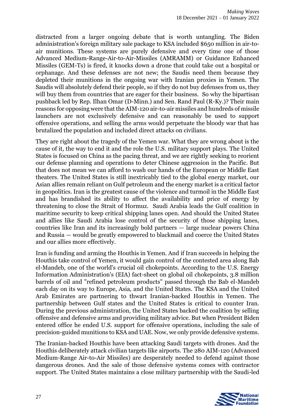distracted from a larger ongoing debate that is worth untangling. The Biden administration's foreign military sale package to KSA included \$650 million in air-toair munitions. These systems are purely defensive and every time one of those Advanced Medium-Range-Air-to-Air-Missiles (AMRAMM) or Guidance Enhanced Missiles (GEM-Ts) is fired, it knocks down a drone that could take out a hospital or orphanage. And these defenses are not new; the Saudis need them because they depleted their munitions in the ongoing war with Iranian proxies in Yemen. The Saudis will absolutely defend their people, so if they do not buy defenses from us, they will buy them from countries that are eager for their business. So why the bipartisan pushback led by Rep. Ilhan Omar (D-Minn.) and Sen. Rand Paul (R-Ky.)? Their main reasons for opposing were that the AIM-120 air-to-air missiles and hundreds of missile launchers are not exclusively defensive and can reasonably be used to support offensive operations, and selling the arms would perpetuate the bloody war that has brutalized the population and included direct attacks on civilians.

They are right about the tragedy of the Yemen war. What they are wrong about is the cause of it, the way to end it and the role the U.S. military support plays. The United States is focused on China as the pacing threat, and we are rightly seeking to reorient our defense planning and operations to deter Chinese aggression in the Pacific. But that does not mean we can afford to wash our hands of the European or Middle East theaters. The United States is still inextricably tied to the global energy market, our Asian allies remain reliant on Gulf petroleum and the energy market is a critical factor in geopolitics. Iran is the greatest cause of the violence and turmoil in the Middle East and has brandished its ability to affect the availability and price of energy by threatening to close the Strait of Hormuz. Saudi Arabia leads the Gulf coalition in maritime security to keep critical shipping lanes open. And should the United States and allies like Saudi Arabia lose control of the security of those shipping lanes, countries like Iran and its increasingly bold partners — large nuclear powers China and Russia — would be greatly empowered to blackmail and coerce the United States and our allies more effectively.

Iran is funding and arming the Houthis in Yemen. And if Iran succeeds in helping the Houthis take control of Yemen, it would gain control of the contested area along Bab el-Mandeb, one of the world's crucial oil chokepoints. According to the U.S. Energy Information Administration's (EIA) fact-sheet on global oil chokepoints, 3.8 million barrels of oil and "refined petroleum products" passed through the Bab el-Mandeb each day on its way to Europe, Asia, and the United States. The KSA and the United Arab Emirates are partnering to thwart Iranian-backed Houthis in Yemen. The partnership between Gulf states and the United States is critical to counter Iran. During the previous administration, the United States backed the coalition by selling offensive and defensive arms and providing military advice. But when President Biden entered office he ended U.S. support for offensive operations, including the sale of precision-guided munitions to KSA and UAE. Now, we only provide defensive systems.

The Iranian-backed Houthis have been attacking Saudi targets with drones. And the Houthis deliberately attack civilian targets like airports. The 280 AIM-120 (Advanced Medium-Range Air-to-Air Missiles) are desperately needed to defend against those dangerous drones. And the sale of those defensive systems comes with contractor support. The United States maintains a close military partnership with the Saudi-led

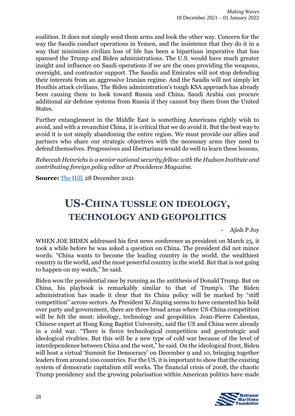coalition. It does not simply send them arms and look the other way. Concern for the way the Saudis conduct operations in Yemen, and the insistence that they do it in a way that minimizes civilian loss of life has been a bipartisan imperative that has spanned the Trump and Biden administrations. The U.S. would have much greater insight and influence on Saudi operations if we are the ones providing the weapons, oversight, and contractor support. The Saudis and Emirates will not stop defending their interests from an aggressive Iranian regime. And the Saudis will not simply let Houthis attack civilians. The Biden administration's tough KSA approach has already been causing them to look toward Russia and China. Saudi Arabia can procure additional air defense systems from Russia if they cannot buy them from the United States.

Further entanglement in the Middle East is something Americans rightly wish to avoid, and with a revanchist China, it is critical that we do avoid it. But the best way to avoid it is not simply abandoning the entire region. We must provide our allies and partners who share our strategic objectives with the necessary arms they need to defend themselves. Progressives and libertarians would do well to learn these lessons.

*Rebeccah Heinrichs is a senior national security fellow with the Hudson Institute and contributing foreign policy editor at Providence Magazine.*

<span id="page-28-0"></span>**Source:** [The Hill](The%20Saudis%20and%20Emirates%20will%20not%20stop%20defending%20their%20interests%20from%20an%20aggressive%20Iranian%20regime.%20And%20the%20Saudis%20will%20not%20simply%20let%20Houthis%20attack%20civilians.%20The%20Biden%20administration’s%20tough%20KSA%20approach%20has%20already%20been%20causing%20them%20to%20look%20toward%20Russia%20and%20China.%20Saudi%20Arabia%20can%20procure%20additional%20air%20defense%20systems%20from%20Russia%20if%20they%20cannot%20buy%20them%20from%20the%20United%20States.); 28 December 2021

#### **US-CHINA TUSSLE ON IDEOLOGY, TECHNOLOGY AND GEOPOLITICS**

- Ajish P Joy

WHEN JOE BIDEN addressed his first news conference as president on March 25, it took a while before he was asked a question on China. The president did not mince words. "China wants to become the leading country in the world, the wealthiest country in the world, and the most powerful country in the world. But that is not going to happen on my watch," he said.

Biden won the presidential race by running as the antithesis of Donald Trump. But on China, his playbook is remarkably similar to that of Trump's. The Biden administration has made it clear that its China policy will be marked by "stiff competition" across sectors. As President Xi Jinping seems to have cemented his hold over party and government, there are three broad areas where US-China competition will be felt the most: ideology, technology and geopolitics. Jean-Pierre Cabestan, Chinese expert at Hong Kong Baptist University, said the US and China were already in a cold war. "There is fierce technological competition and geostrategic and ideological rivalries. But this will be a new type of cold war because of the level of interdependence between China and the west," he said. On the ideological front, Biden will host a virtual 'Summit for Democracy' on December 9 and 10, bringing together leaders from around 100 countries. For the US, it is important to show that the existing system of democratic capitalism still works. The financial crisis of 2008, the chaotic Trump presidency and the growing polarisation within American politics have made

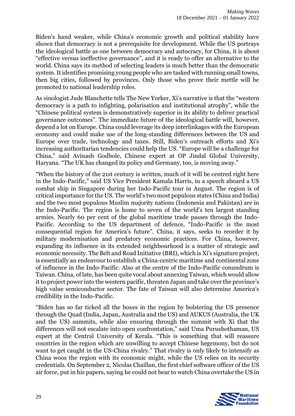Biden's hand weaker, while China's economic growth and political stability have shown that democracy is not a prerequisite for development. While the US portrays the ideological battle as one between democracy and autocracy, for China, it is about "effective versus ineffective governance", and it is ready to offer an alternative to the world. China says its method of selecting leaders is much better than the democratic system. It identifies promising young people who are tasked with running small towns, then big cities, followed by provinces. Only those who prove their mettle will be promoted to national leadership roles.

As sinologist Jude Blanchette tells The New Yorker, Xi's narrative is that the "western democracy is a path to infighting, polarisation and institutional atrophy", while the "Chinese political system is demonstratively superior in its ability to deliver practical governance outcomes". The immediate future of the ideological battle will, however, depend a lot on Europe. China could leverage its deep interlinkages with the European economy and could make use of the long-standing differences between the US and Europe over trade, technology and taxes. Still, Biden's outreach efforts and Xi's increasing authoritarian tendencies could help the US. "Europe will be a challenge for China," said Avinash Godbole, Chinese expert at OP Jindal Global University, Haryana. "The UK has changed its policy and Germany, too, is moving away."

"When the history of the 21st century is written, much of it will be centred right here in the Indo-Pacific," said US Vice President Kamala Harris, in a speech aboard a US combat ship in Singapore during her Indo-Pacific tour in August. The region is of critical importance for the US. The world's two most populous states (China and India) and the two most populous Muslim majority nations (Indonesia and Pakistan) are in the Indo-Pacific. The region is home to seven of the world's ten largest standing armies. Nearly 60 per cent of the global maritime trade passes through the Indo-Pacific. According to the US department of defence, "Indo-Pacific is the most consequential region for America's future". China, it says, seeks to reorder it by military modernisation and predatory economic practices. For China, however, expanding its influence in its extended neighbourhood is a matter of strategic and economic necessity. The Belt and Road Initiative (BRI), which is Xi's signature project, is essentially an endeavour to establish a China-centric maritime and continental zone of influence in the Indo-Pacific. Also at the centre of the Indo-Pacific conundrum is Taiwan. China, of late, has been quite vocal about annexing Taiwan, which would allow it to project power into the western pacific, threaten Japan and take over the province's high value semiconductor sector. The fate of Taiwan will also determine America's credibility in the Indo-Pacific.

"Biden has so far ticked all the boxes in the region by bolstering the US presence through the Quad (India, Japan, Australia and the US) and AUKUS (Australia, the UK and the US) summits, while also ensuring through the summit with Xi that the differences will not escalate into open confrontation," said Uma Purushothaman, US expert at the Central University of Kerala. "This is something that will reassure countries in the region which are unwilling to accept Chinese hegemony, but do not want to get caught in the US-China rivalry." That rivalry is only likely to intensify as China woos the region with its economic might, while the US relies on its security credentials. On September 2, Nicolas Chaillan, the first chief software officer of the US air force, put in his papers, saying he could not bear to watch China overtake the US in

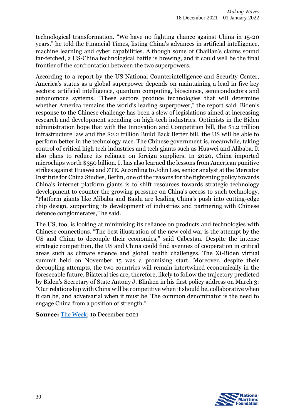technological transformation. "We have no fighting chance against China in 15-20 years," he told the Financial Times, listing China's advances in artificial intelligence, machine learning and cyber capabilities. Although some of Chaillan's claims sound far-fetched, a US-China technological battle is brewing, and it could well be the final frontier of the confrontation between the two superpowers.

According to a report by the US National Counterintelligence and Security Center, America's status as a global superpower depends on maintaining a lead in five key sectors: artificial intelligence, quantum computing, bioscience, semiconductors and autonomous systems. "These sectors produce technologies that will determine whether America remains the world's leading superpower," the report said. Biden's response to the Chinese challenge has been a slew of legislations aimed at increasing research and development spending on high-tech industries. Optimists in the Biden administration hope that with the Innovation and Competition bill, the \$1.2 trillion infrastructure law and the \$2.2 trillion Build Back Better bill, the US will be able to perform better in the technology race. The Chinese government is, meanwhile, taking control of critical high tech industries and tech giants such as Huawei and Alibaba. It also plans to reduce its reliance on foreign suppliers. In 2020, China imported microchips worth \$350 billion. It has also learned the lessons from American punitive strikes against Huawei and ZTE. According to John Lee, senior analyst at the Mercator Institute for China Studies, Berlin, one of the reasons for the tightening policy towards China's internet platform giants is to shift resources towards strategic technology development to counter the growing pressure on China's access to such technology. "Platform giants like Alibaba and Baidu are leading China's push into cutting-edge chip design, supporting its development of industries and partnering with Chinese defence conglomerates," he said.

The US, too, is looking at minimising its reliance on products and technologies with Chinese connections. "The best illustration of the new cold war is the attempt by the US and China to decouple their economies," said Cabestan. Despite the intense strategic competition, the US and China could find avenues of cooperation in critical areas such as climate science and global health challenges. The Xi-Biden virtual summit held on November 15 was a promising start. Moreover, despite their decoupling attempts, the two countries will remain intertwined economically in the foreseeable future. Bilateral ties are, therefore, likely to follow the trajectory predicted by Biden's Secretary of State Antony J. Blinken in his first policy address on March 3: "Our relationship with China will be competitive when it should be, collaborative when it can be, and adversarial when it must be. The common denominator is the need to engage China from a position of strength."

**Source:** [The Week;](https://www.theweek.in/theweek/more/2021/12/09/us-china-tussle-on-ideology-technology-and-geopolitics.html) 19 December 2021

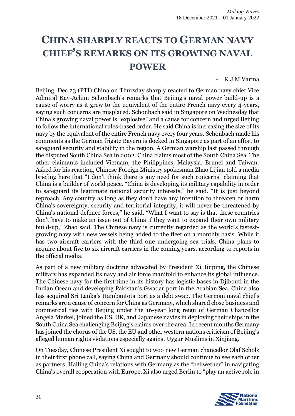#### <span id="page-31-0"></span>**CHINA SHARPLY REACTS TO GERMAN NAVY CHIEF'S REMARKS ON ITS GROWING NAVAL POWER**

K J M Varma

Beijing, Dec 23 (PTI) China on Thursday sharply reacted to German navy chief Vice Admiral Kay-Achim Schonbach's remarks that Beijing's naval power build-up is a cause of worry as it grew to the equivalent of the entire French navy every 4-years, saying such concerns are misplaced. Schonbach said in Singapore on Wednesday that China's growing naval power is "explosive" and a cause for concern and urged Beijing to follow the international rules-based order. He said China is increasing the size of its navy by the equivalent of the entire French navy every four years. Schonbach made his comments as the German frigate Bayern is docked in Singapore as part of an effort to safeguard security and stability in the region. A German warship last passed through the disputed South China Sea in 2002. China claims most of the South China Sea. The other claimants included Vietnam, the Philippines, Malaysia, Brunei and Taiwan. Asked for his reaction, Chinese Foreign Ministry spokesman Zhao Lijian told a media briefing here that "I don't think there is any need for such concerns" claiming that China is a builder of world peace. "China is developing its military capability in order to safeguard its legitimate national security interests," he said. "It is just beyond reproach. Any country as long as they don't have any intention to threaten or harm China's sovereignty, security and territorial integrity, it will never be threatened by China's national defence forces," he said. "What I want to say is that these countries don't have to make an issue out of China if they want to expand their own military build-up," Zhao said. The Chinese navy is currently regarded as the world's fastestgrowing navy with new vessels being added to the fleet on a monthly basis. While it has two aircraft carriers with the third one undergoing sea trials, China plans to acquire about five to six aircraft carriers in the coming years, according to reports in the official media.

As part of a new military doctrine advocated by President Xi Jinping, the Chinese military has expanded its navy and air force manifold to enhance its global influence. The Chinese navy for the first time in its history has logistic bases in Djibouti in the Indian Ocean and developing Pakistan's Gwadar port in the Arabian Sea. China also has acquired Sri Lanka's Hambantota port as a debt swap. The German naval chief's remarks are a cause of concern for China as Germany, which shared close business and commercial ties with Beijing under the 16-year long reign of German Chancellor Angela Merkel, joined the US, UK, and Japanese navies in deploying their ships in the South China Sea challenging Beijing's claims over the area. In recent months Germany has joined the chorus of the US, the EU and other western nations criticism of Beijing's alleged human rights violations especially against Uygur Muslims in Xinjiang.

On Tuesday, Chinese President Xi sought to woo new German chancellor Olaf Scholz in their first phone call, saying China and Germany should continue to see each other as partners. Hailing China's relations with Germany as the "bellwether" in navigating China's overall cooperation with Europe, Xi also urged Berlin to "play an active role in

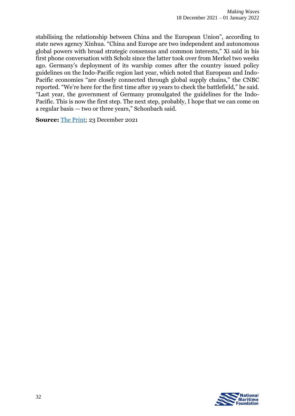stabilising the relationship between China and the European Union", according to state news agency Xinhua. "China and Europe are two independent and autonomous global powers with broad strategic consensus and common interests," Xi said in his first phone conversation with Scholz since the latter took over from Merkel two weeks ago. Germany's deployment of its warship comes after the country issued policy guidelines on the Indo-Pacific region last year, which noted that European and Indo-Pacific economies "are closely connected through global supply chains," the CNBC reported. "We're here for the first time after 19 years to check the battlefield," he said. "Last year, the government of Germany promulgated the guidelines for the Indo-Pacific. This is now the first step. The next step, probably, I hope that we can come on a regular basis — two or three years," Schonbach said.

**Source:** [The Print;](https://theprint.in/world/china-sharply-reacts-to-german-navy-chiefs-remarks-on-its-growing-naval-power/786521/) 23 December 2021